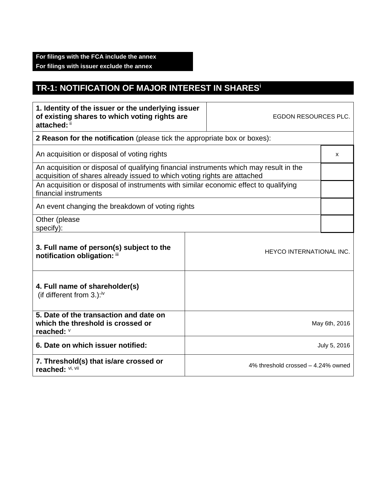## **TR-1: NOTIFICATION OF MAJOR INTEREST IN SHARES<sup>i</sup>**

| 1. Identity of the issuer or the underlying issuer<br>of existing shares to which voting rights are<br>attached: ii                                                |                                                                           | EGDON RESOURCES PLC.               |               |  |
|--------------------------------------------------------------------------------------------------------------------------------------------------------------------|---------------------------------------------------------------------------|------------------------------------|---------------|--|
|                                                                                                                                                                    | 2 Reason for the notification (please tick the appropriate box or boxes): |                                    |               |  |
| An acquisition or disposal of voting rights                                                                                                                        |                                                                           |                                    | X             |  |
| An acquisition or disposal of qualifying financial instruments which may result in the<br>acquisition of shares already issued to which voting rights are attached |                                                                           |                                    |               |  |
| An acquisition or disposal of instruments with similar economic effect to qualifying<br>financial instruments                                                      |                                                                           |                                    |               |  |
| An event changing the breakdown of voting rights                                                                                                                   |                                                                           |                                    |               |  |
| Other (please<br>specify):                                                                                                                                         |                                                                           |                                    |               |  |
| 3. Full name of person(s) subject to the<br>notification obligation: iii                                                                                           |                                                                           | HEYCO INTERNATIONAL INC.           |               |  |
| 4. Full name of shareholder(s)<br>(if different from 3.): $iv$                                                                                                     |                                                                           |                                    |               |  |
| 5. Date of the transaction and date on<br>which the threshold is crossed or<br>reached: V                                                                          |                                                                           |                                    | May 6th, 2016 |  |
| 6. Date on which issuer notified:                                                                                                                                  |                                                                           |                                    | July 5, 2016  |  |
| 7. Threshold(s) that is/are crossed or<br>reached: Vi, Vii                                                                                                         |                                                                           | 4% threshold crossed - 4.24% owned |               |  |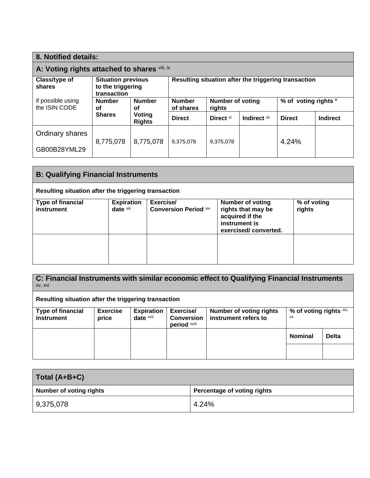| 8. Notified details:                         |                                                               |                         |                                                      |                                   |              |                      |                 |
|----------------------------------------------|---------------------------------------------------------------|-------------------------|------------------------------------------------------|-----------------------------------|--------------|----------------------|-----------------|
| A: Voting rights attached to shares viii, ix |                                                               |                         |                                                      |                                   |              |                      |                 |
| Class/type of<br>shares                      | <b>Situation previous</b><br>to the triggering<br>transaction |                         | Resulting situation after the triggering transaction |                                   |              |                      |                 |
| if possible using<br>the ISIN CODE           | <b>Number</b><br>οf                                           | <b>Number</b><br>οf     | <b>Number</b><br>of shares                           | <b>Number of voting</b><br>rights |              | % of voting rights x |                 |
|                                              | <b>Shares</b>                                                 | Voting<br><b>Rights</b> | <b>Direct</b>                                        | Direct <sup>xi</sup>              | Indirect xii | <b>Direct</b>        | <b>Indirect</b> |
| Ordinary shares                              |                                                               |                         |                                                      |                                   |              |                      |                 |
| GB00B28YML29                                 | 8,775,078                                                     | 8,775,078               | 9,375,078                                            | 9,375,078                         |              | 4.24%                |                 |

| <b>B: Qualifying Financial Instruments</b> |                                                      |                                           |                                                                                                           |                       |  |
|--------------------------------------------|------------------------------------------------------|-------------------------------------------|-----------------------------------------------------------------------------------------------------------|-----------------------|--|
|                                            | Resulting situation after the triggering transaction |                                           |                                                                                                           |                       |  |
| <b>Type of financial</b><br>instrument     | <b>Expiration</b><br>date xiii                       | Exercise/<br><b>Conversion Period xiv</b> | <b>Number of voting</b><br>rights that may be<br>acquired if the<br>instrument is<br>exercised/converted. | % of voting<br>rights |  |
|                                            |                                                      |                                           |                                                                                                           |                       |  |

**C: Financial Instruments with similar economic effect to Qualifying Financial Instruments** xv, xvi **Resulting situation after the triggering transaction Type of financial instrument Exercise price Expiration date** xvii **Exercise/ Conversion period** xviii **Number of voting rights instrument refers to % of voting rights** xix, xx **Nominal Delta**

| Total (A+B+C)                  |                             |  |
|--------------------------------|-----------------------------|--|
| <b>Number of voting rights</b> | Percentage of voting rights |  |
| 9,375,078                      | 4.24%                       |  |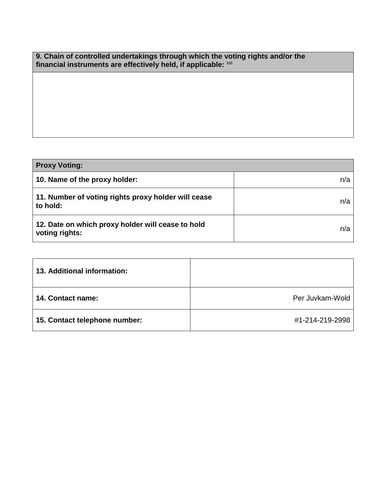| 9. Chain of controlled undertakings through which the voting rights and/or the |
|--------------------------------------------------------------------------------|
| financial instruments are effectively held, if applicable: xxi                 |

| <b>Proxy Voting:</b>                                                |     |  |  |
|---------------------------------------------------------------------|-----|--|--|
| 10. Name of the proxy holder:                                       | n/a |  |  |
| 11. Number of voting rights proxy holder will cease<br>to hold:     | n/a |  |  |
| 12. Date on which proxy holder will cease to hold<br>voting rights: | n/a |  |  |

| 13. Additional information:   |                 |
|-------------------------------|-----------------|
| <b>14. Contact name:</b>      | Per Juvkam-Wold |
| 15. Contact telephone number: | #1-214-219-2998 |